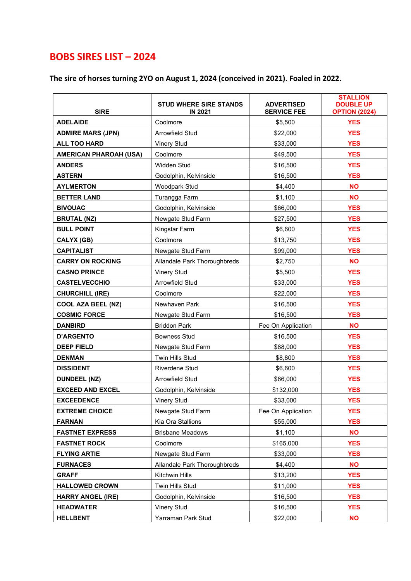## BOBS SIRES LIST – 2024

## The sire of horses turning 2YO on August 1, 2024 (conceived in 2021). Foaled in 2022.

| <b>SIRE</b>                   | <b>STUD WHERE SIRE STANDS</b><br><b>IN 2021</b> | <b>ADVERTISED</b><br><b>SERVICE FEE</b> | <b>STALLION</b><br><b>DOUBLE UP</b><br><b>OPTION (2024)</b> |
|-------------------------------|-------------------------------------------------|-----------------------------------------|-------------------------------------------------------------|
| <b>ADELAIDE</b>               | Coolmore                                        | \$5,500                                 | <b>YES</b>                                                  |
| <b>ADMIRE MARS (JPN)</b>      | Arrowfield Stud                                 | \$22,000                                | <b>YES</b>                                                  |
| <b>ALL TOO HARD</b>           | <b>Vinery Stud</b>                              | \$33,000                                | <b>YES</b>                                                  |
| <b>AMERICAN PHAROAH (USA)</b> | Coolmore                                        | \$49,500                                | <b>YES</b>                                                  |
| <b>ANDERS</b>                 | Widden Stud                                     | \$16,500                                | <b>YES</b>                                                  |
| <b>ASTERN</b>                 | Godolphin, Kelvinside                           | \$16,500                                | <b>YES</b>                                                  |
| <b>AYLMERTON</b>              | Woodpark Stud                                   | \$4,400                                 | <b>NO</b>                                                   |
| <b>BETTER LAND</b>            | Turangga Farm                                   | \$1,100                                 | <b>NO</b>                                                   |
| <b>BIVOUAC</b>                | Godolphin, Kelvinside                           | \$66,000                                | <b>YES</b>                                                  |
| <b>BRUTAL (NZ)</b>            | Newgate Stud Farm                               | \$27,500                                | <b>YES</b>                                                  |
| <b>BULL POINT</b>             | Kingstar Farm                                   | \$6,600                                 | <b>YES</b>                                                  |
| <b>CALYX (GB)</b>             | Coolmore                                        | \$13,750                                | <b>YES</b>                                                  |
| <b>CAPITALIST</b>             | Newgate Stud Farm                               | \$99,000                                | <b>YES</b>                                                  |
| <b>CARRY ON ROCKING</b>       | Allandale Park Thoroughbreds                    | \$2,750                                 | <b>NO</b>                                                   |
| <b>CASNO PRINCE</b>           | <b>Vinery Stud</b>                              | \$5,500                                 | <b>YES</b>                                                  |
| <b>CASTELVECCHIO</b>          | Arrowfield Stud                                 | \$33,000                                | <b>YES</b>                                                  |
| <b>CHURCHILL (IRE)</b>        | Coolmore                                        | \$22,000                                | <b>YES</b>                                                  |
| <b>COOL AZA BEEL (NZ)</b>     | Newhaven Park                                   | \$16,500                                | <b>YES</b>                                                  |
| <b>COSMIC FORCE</b>           | Newgate Stud Farm                               | \$16,500                                | <b>YES</b>                                                  |
| <b>DANBIRD</b>                | <b>Briddon Park</b>                             | Fee On Application                      | <b>NO</b>                                                   |
| <b>D'ARGENTO</b>              | <b>Bowness Stud</b>                             | \$16,500                                | <b>YES</b>                                                  |
| <b>DEEP FIELD</b>             | Newgate Stud Farm                               | \$88,000                                | <b>YES</b>                                                  |
| <b>DENMAN</b>                 | Twin Hills Stud                                 | \$8,800                                 | <b>YES</b>                                                  |
| <b>DISSIDENT</b>              | Riverdene Stud                                  | \$6,600                                 | <b>YES</b>                                                  |
| <b>DUNDEEL (NZ)</b>           | Arrowfield Stud                                 | \$66,000                                | <b>YES</b>                                                  |
| <b>EXCEED AND EXCEL</b>       | Godolphin, Kelvinside                           | \$132,000                               | <b>YES</b>                                                  |
| <b>EXCEEDENCE</b>             | <b>Vinery Stud</b>                              | \$33,000                                | <b>YES</b>                                                  |
| <b>EXTREME CHOICE</b>         | Newgate Stud Farm                               | Fee On Application                      | <b>YES</b>                                                  |
| <b>FARNAN</b>                 | Kia Ora Stallions                               | \$55,000                                | <b>YES</b>                                                  |
| <b>FASTNET EXPRESS</b>        | <b>Brisbane Meadows</b>                         | \$1,100                                 | <b>NO</b>                                                   |
| <b>FASTNET ROCK</b>           | Coolmore                                        | \$165,000                               | <b>YES</b>                                                  |
| <b>FLYING ARTIE</b>           | Newgate Stud Farm                               | \$33,000                                | <b>YES</b>                                                  |
| <b>FURNACES</b>               | Allandale Park Thoroughbreds                    | \$4,400                                 | <b>NO</b>                                                   |
| <b>GRAFF</b>                  | Kitchwin Hills                                  | \$13,200                                | <b>YES</b>                                                  |
| <b>HALLOWED CROWN</b>         | Twin Hills Stud                                 | \$11,000                                | <b>YES</b>                                                  |
| <b>HARRY ANGEL (IRE)</b>      | Godolphin, Kelvinside                           | \$16,500                                | <b>YES</b>                                                  |
| <b>HEADWATER</b>              | <b>Vinery Stud</b>                              | \$16,500                                | <b>YES</b>                                                  |
| <b>HELLBENT</b>               | Yarraman Park Stud                              | \$22,000                                | <b>NO</b>                                                   |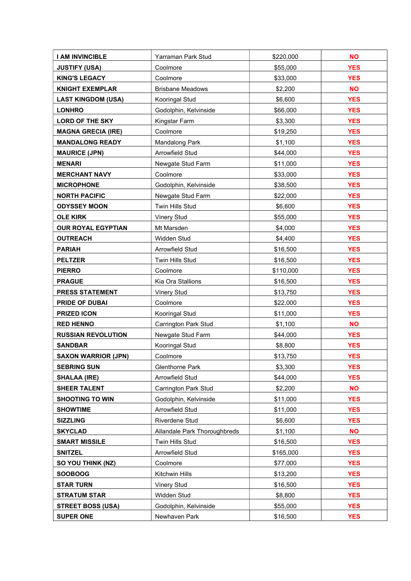| I AM INVINCIBLE            | Yarraman Park Stud           | \$220,000 | <b>NO</b>  |
|----------------------------|------------------------------|-----------|------------|
| <b>JUSTIFY (USA)</b>       | Coolmore                     | \$55,000  | <b>YES</b> |
| <b>KING'S LEGACY</b>       | Coolmore                     | \$33,000  | <b>YES</b> |
| <b>KNIGHT EXEMPLAR</b>     | <b>Brisbane Meadows</b>      | \$2,200   | <b>NO</b>  |
| <b>LAST KINGDOM (USA)</b>  | Kooringal Stud               | \$6,600   | <b>YES</b> |
| <b>LONHRO</b>              | Godolphin, Kelvinside        | \$66,000  | <b>YES</b> |
| <b>LORD OF THE SKY</b>     | Kingstar Farm                | \$3,300   | <b>YES</b> |
| <b>MAGNA GRECIA (IRE)</b>  | Coolmore                     | \$19,250  | <b>YES</b> |
| <b>MANDALONG READY</b>     | <b>Mandalong Park</b>        | \$1,100   | <b>YES</b> |
| <b>MAURICE (JPN)</b>       | Arrowfield Stud              | \$44,000  | <b>YES</b> |
| <b>MENARI</b>              | Newgate Stud Farm            | \$11,000  | <b>YES</b> |
| <b>MERCHANT NAVY</b>       | Coolmore                     | \$33,000  | <b>YES</b> |
| <b>MICROPHONE</b>          | Godolphin, Kelvinside        | \$38,500  | <b>YES</b> |
| <b>NORTH PACIFIC</b>       | Newgate Stud Farm            | \$22,000  | <b>YES</b> |
| <b>ODYSSEY MOON</b>        | Twin Hills Stud              | \$6,600   | <b>YES</b> |
| <b>OLE KIRK</b>            | <b>Vinery Stud</b>           | \$55,000  | <b>YES</b> |
| <b>OUR ROYAL EGYPTIAN</b>  | Mt Marsden                   | \$4,000   | <b>YES</b> |
| <b>OUTREACH</b>            | Widden Stud                  | \$4,400   | <b>YES</b> |
| <b>PARIAH</b>              | Arrowfield Stud              | \$16,500  | <b>YES</b> |
| <b>PELTZER</b>             | Twin Hills Stud              | \$16,500  | <b>YES</b> |
| <b>PIERRO</b>              | Coolmore                     | \$110,000 | <b>YES</b> |
| <b>PRAGUE</b>              | Kia Ora Stallions            | \$16,500  | <b>YES</b> |
| <b>PRESS STATEMENT</b>     | <b>Vinery Stud</b>           | \$13,750  | <b>YES</b> |
| <b>PRIDE OF DUBAI</b>      | Coolmore                     | \$22,000  | <b>YES</b> |
| <b>PRIZED ICON</b>         | Kooringal Stud               | \$11,000  | <b>YES</b> |
| <b>RED HENNO</b>           | <b>Carrington Park Stud</b>  | \$1,100   | <b>NO</b>  |
| <b>RUSSIAN REVOLUTION</b>  | Newgate Stud Farm            | \$44,000  | <b>YES</b> |
| <b>SANDBAR</b>             | Kooringal Stud               | \$8,800   | <b>YES</b> |
| <b>SAXON WARRIOR (JPN)</b> | Coolmore                     | \$13,750  | <b>YES</b> |
| <b>SEBRING SUN</b>         | <b>Glenthorne Park</b>       | \$3,300   | <b>YES</b> |
| <b>SHALAA (IRE)</b>        | Arrowfield Stud              | \$44,000  | <b>YES</b> |
| <b>SHEER TALENT</b>        | <b>Carrington Park Stud</b>  | \$2,200   | <b>NO</b>  |
| <b>SHOOTING TO WIN</b>     | Godolphin, Kelvinside        | \$11,000  | <b>YES</b> |
| <b>SHOWTIME</b>            | Arrowfield Stud              | \$11,000  | <b>YES</b> |
| <b>SIZZLING</b>            | Riverdene Stud               | \$6,600   | <b>YES</b> |
| <b>SKYCLAD</b>             | Allandale Park Thoroughbreds | \$1,100   | <b>NO</b>  |
| <b>SMART MISSILE</b>       | Twin Hills Stud              | \$16,500  | <b>YES</b> |
| <b>SNITZEL</b>             | Arrowfield Stud              | \$165,000 | <b>YES</b> |
| SO YOU THINK (NZ)          | Coolmore                     | \$77,000  | <b>YES</b> |
| <b>SOOBOOG</b>             | Kitchwin Hills               | \$13,200  | <b>YES</b> |
| <b>STAR TURN</b>           | <b>Vinery Stud</b>           | \$16,500  | <b>YES</b> |
| <b>STRATUM STAR</b>        | Widden Stud                  | \$8,800   | <b>YES</b> |
| <b>STREET BOSS (USA)</b>   | Godolphin, Kelvinside        | \$55,000  | <b>YES</b> |
| <b>SUPER ONE</b>           | Newhaven Park                | \$16,500  | <b>YES</b> |